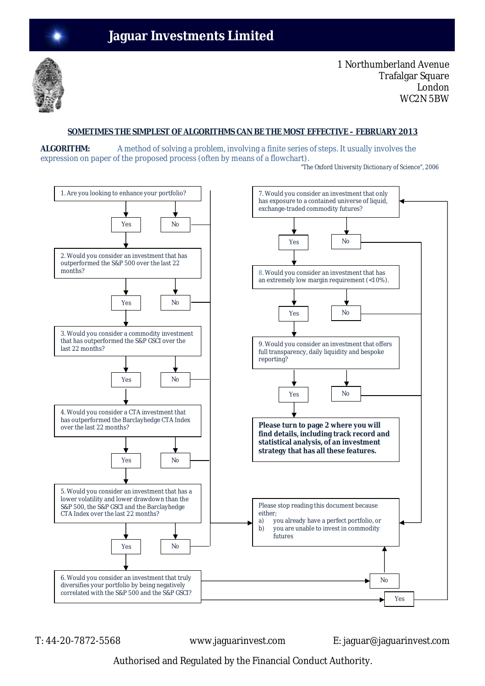

1 Northumberland Avenue Trafalgar Square London WC2N 5BW

# **SOMETIMES THE SIMPLEST OF ALGORITHMS CAN BE THE MOST EFFECTIVE – FEBRUARY 2013**

**ALGORITHM:** A method of solving a problem, involving a finite series of steps. It usually involves the expression on paper of the proposed process (often by means of a flowchart).

*"The Oxford University Dictionary of Science", 2006* 



T: 44-20-7872-5568 www.jaguarinvest.com E: jaguar@jaguarinvest.com

Authorised and Regulated by the Financial Conduct Authority.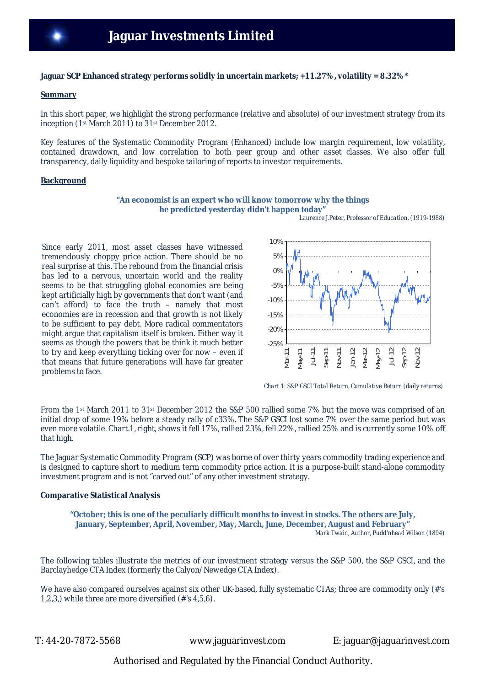# **Jaguar SCP Enhanced strategy performs solidly in uncertain markets; +11.27%, volatility = 8.32%\***

### **Summary**

In this short paper, we highlight the strong performance (relative and absolute) of our investment strategy from its inception (1st March 2011) to 31st December 2012.

Key features of the Systematic Commodity Program (Enhanced) include low margin requirement, low volatility, contained drawdown, and low correlation to both peer group and other asset classes. We also offer full transparency, daily liquidity and bespoke tailoring of reports to investor requirements.

### **Background**

### **"An economist is an expert who will know tomorrow why the things he predicted yesterday didn't happen today"**

 *Laurence J.Peter, Professor of Education, (1919-1988)*

Since early 2011, most asset classes have witnessed tremendously choppy price action. There should be no real surprise at this. The rebound from the financial crisis has led to a nervous, uncertain world and the reality seems to be that struggling global economies are being kept artificially high by governments that don't want (and can't afford) to face the truth – namely that most economies are in recession and that growth is not likely to be sufficient to pay debt. More radical commentators might argue that capitalism itself is broken. Either way it seems as though the powers that be think it much better to try and keep everything ticking over for now – even if that means that future generations will have far greater problems to face.



*Chart.1: S&P GSCI Total Return, Cumulative Return (daily returns)*

From the 1st March 2011 to 31st December 2012 the S&P 500 rallied some 7% but the move was comprised of an initial drop of some 19% before a steady rally of c33%. The S&P GSCI lost some 7% over the same period but was even more volatile. Chart.1, right, shows it fell 17%, rallied 23%, fell 22%, rallied 25% and is currently some 10% off that high.

The Jaguar Systematic Commodity Program (SCP) was borne of over thirty years commodity trading experience and is designed to capture short to medium term commodity price action. It is a purpose-built stand-alone commodity investment program and is not "carved out" of any other investment strategy.

# **Comparative Statistical Analysis**

**"October; this is one of the peculiarly difficult months to invest in stocks. The others are July, January, September, April, November, May, March, June, December, August and February"** *Mark Twain, Author, Pudd'nhead Wilson (1894)*

The following tables illustrate the metrics of our investment strategy versus the S&P 500, the S&P GSCI, and the Barclayhedge CTA Index (formerly the Calyon/Newedge CTA Index).

We have also compared ourselves against six other UK-based, fully systematic CTAs; three are commodity only (#'s 1,2,3,) while three are more diversified (#'s 4,5,6).

T: 44-20-7872-5568 www.jaguarinvest.com E: jaguar@jaguarinvest.com

Authorised and Regulated by the Financial Conduct Authority.